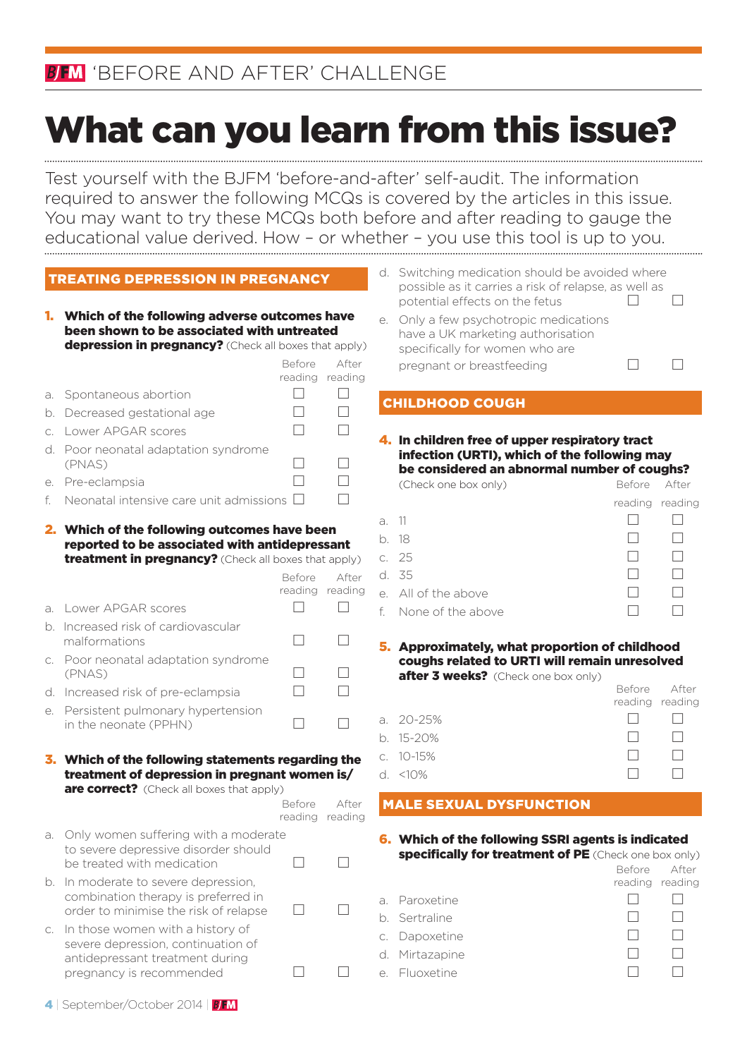# BIN 'BEFORE AND AFTER' CHALLENGE

# What can you learn from this issue?

Test yourself with the BJFM 'before-and-after' self-audit. The information required to answer the following MCQs is covered by the articles in this issue. You may want to try these MCQs both before and after reading to gauge the educational value derived. How – or whether – you use this tool is up to you.

|  | <b>TREATING DEPRESSION IN PREGNANCY</b> |
|--|-----------------------------------------|
|  |                                         |
|  |                                         |

| 1. | Which of the following adverse outcomes have<br>been shown to be associated with untreated<br>depression in pregnancy? (Check all boxes that apply)   |                   |                  |                         |  |
|----|-------------------------------------------------------------------------------------------------------------------------------------------------------|-------------------|------------------|-------------------------|--|
|    |                                                                                                                                                       | Before            | After            |                         |  |
|    |                                                                                                                                                       | reading           | reading          |                         |  |
| a. | Spontaneous abortion                                                                                                                                  | $\Box$            | $\Box$           | $\overline{\mathsf{C}}$ |  |
| b. | Decreased gestational age                                                                                                                             | П                 | П                |                         |  |
| C. | Lower APGAR scores                                                                                                                                    |                   |                  |                         |  |
| d. | Poor neonatal adaptation syndrome<br>(PNAS)                                                                                                           | П                 | П                |                         |  |
| e. | Pre-eclampsia                                                                                                                                         | П                 | П                |                         |  |
| f. | Neonatal intensive care unit admissions $\Box$                                                                                                        |                   | П                |                         |  |
|    | 2. Which of the following outcomes have been<br>reported to be associated with antidepressant<br>treatment in pregnancy? (Check all boxes that apply) | Before            | After            | a.<br>b.<br>C.<br>d.    |  |
| a. | Lower APGAR scores                                                                                                                                    | reading<br>$\Box$ | reading          | е.                      |  |
| b. | Increased risk of cardiovascular                                                                                                                      |                   |                  | f.                      |  |
|    | malformations                                                                                                                                         | П                 |                  | 5,                      |  |
| C. | Poor neonatal adaptation syndrome<br>(PNAS)                                                                                                           | П                 |                  |                         |  |
| d. | Increased risk of pre-eclampsia                                                                                                                       | П                 | П                |                         |  |
| е. | Persistent pulmonary hypertension<br>in the neonate (PPHN)                                                                                            | П                 |                  | a.<br>b.                |  |
|    | 3. Which of the following statements regarding the                                                                                                    |                   |                  | C.                      |  |
|    | treatment of depression in pregnant women is/                                                                                                         |                   |                  | d.                      |  |
|    | are correct? (Check all boxes that apply)                                                                                                             |                   |                  |                         |  |
|    |                                                                                                                                                       | Before<br>reading | After<br>reading | Þ                       |  |
| a. | Only women suffering with a moderate<br>to severe depressive disorder should<br>be treated with medication                                            | П                 | $\Box$           | 6                       |  |
| b. | In moderate to severe depression,<br>combination therapy is preferred in<br>order to minimise the risk of relapse                                     | $\Box$            |                  | a.<br>b.                |  |
| C. | In those women with a history of<br>severe depression, continuation of<br>antidepressant treatment during                                             |                   |                  | C.<br>d.                |  |

- d. Switching medication should be avoided where possible as it carries a risk of relapse, as well as potential effects on the fetus  $\Box$ Only a few psychotropic medications
- have a UK marketing authorisation specifically for women who are pregnant or breastfeeding  $\Box$  $\Box$

### **HILDHOOD COUGH**

4. In children free of upper respiratory tract infection (URTI), which of the following may be considered an abnormal number of coughs?

|       | (Check one box only) | Before After    |  |
|-------|----------------------|-----------------|--|
|       |                      | reading reading |  |
| a. 11 |                      |                 |  |
|       | b. 18                |                 |  |
|       | c. 25                |                 |  |
|       | d. 35                |                 |  |
|       | e. All of the above  |                 |  |
|       | f. None of the above |                 |  |
|       |                      |                 |  |

5. Approximately, what proportion of childhood coughs related to URTI will remain unresolved after 3 weeks? (Check one box only)

|           | Before After                                                | reading reading |
|-----------|-------------------------------------------------------------|-----------------|
| a. 20-25% | $\mathbf{I} = \begin{bmatrix} 1 & 1 \\ 1 & 1 \end{bmatrix}$ | $\Box$          |
| b. 15-20% | $\mathbb{E}[\cdot]$                                         | $\Box$          |
| c. 10-15% | $\Box$                                                      | . .             |
| d. <10%   | <b>A</b> 10                                                 | $\Box$          |
|           |                                                             |                 |

### **ALE SEXUAL DYSFUNCTION**

6. Which of the following SSRI agents is indicated specifically for treatment of PE (Check one box only)

|                |                 | Before After |
|----------------|-----------------|--------------|
|                | reading reading |              |
| a. Paroxetine  |                 |              |
| b. Sertraline  |                 |              |
| c. Dapoxetine  |                 |              |
| d. Mirtazapine |                 |              |
| e. Fluoxetine  |                 |              |
|                |                 |              |

4 | September/October 2014 | BFM

pregnancy is recommended  $\Box$